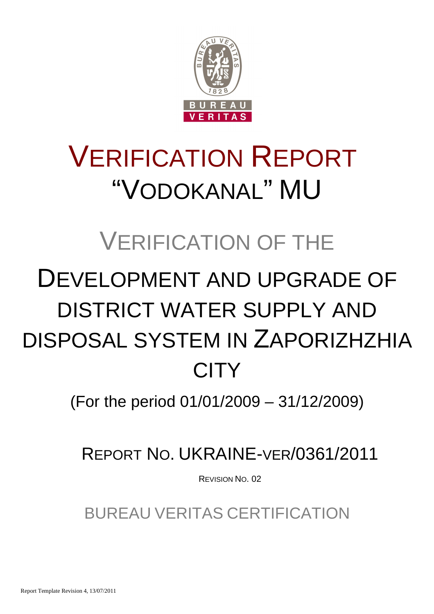

# VERIFICATION REPORT "VODOKANAL" MU

# VERIFICATION OF THE

# DEVELOPMENT AND UPGRADE OF DISTRICT WATER SUPPLY AND DISPOSAL SYSTEM IN ZAPORIZHZHIA **CITY**

(For the period 01/01/2009 – 31/12/2009)

REPORT NO. UKRAINE-VER/0361/2011

REVISION NO. 02

BUREAU VERITAS CERTIFICATION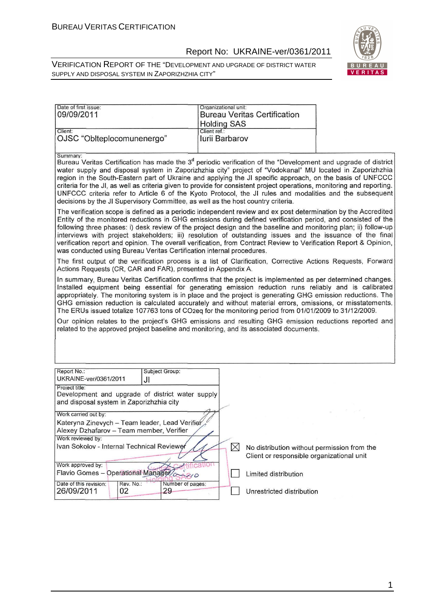#### Report No: UKRAINE-ver/0361/2011

VERIFICATION REPORT OF THE "DEVELOPMENT AND UPGRADE OF DISTRICT WATER SUPPLY AND DISPOSAL SYSTEM IN ZAPORIZHZHIA CITY"



| Date of first issue:                                                                                                                                                                                                                                                                                                                                                                                                                                                                                                                                                                                                                                                                                                                                                                                                                                                                                                                                                                                                                                                                                                                                                                                                                                                                                                                                                                                                                                                                                                                                                                                                                                                                                                                                                                                                                                                                                                                                                                                                                                                                                       | Organizational unit:               |                                             |  |  |  |
|------------------------------------------------------------------------------------------------------------------------------------------------------------------------------------------------------------------------------------------------------------------------------------------------------------------------------------------------------------------------------------------------------------------------------------------------------------------------------------------------------------------------------------------------------------------------------------------------------------------------------------------------------------------------------------------------------------------------------------------------------------------------------------------------------------------------------------------------------------------------------------------------------------------------------------------------------------------------------------------------------------------------------------------------------------------------------------------------------------------------------------------------------------------------------------------------------------------------------------------------------------------------------------------------------------------------------------------------------------------------------------------------------------------------------------------------------------------------------------------------------------------------------------------------------------------------------------------------------------------------------------------------------------------------------------------------------------------------------------------------------------------------------------------------------------------------------------------------------------------------------------------------------------------------------------------------------------------------------------------------------------------------------------------------------------------------------------------------------------|------------------------------------|---------------------------------------------|--|--|--|
| 09/09/2011                                                                                                                                                                                                                                                                                                                                                                                                                                                                                                                                                                                                                                                                                                                                                                                                                                                                                                                                                                                                                                                                                                                                                                                                                                                                                                                                                                                                                                                                                                                                                                                                                                                                                                                                                                                                                                                                                                                                                                                                                                                                                                 |                                    | <b>Bureau Veritas Certification</b>         |  |  |  |
|                                                                                                                                                                                                                                                                                                                                                                                                                                                                                                                                                                                                                                                                                                                                                                                                                                                                                                                                                                                                                                                                                                                                                                                                                                                                                                                                                                                                                                                                                                                                                                                                                                                                                                                                                                                                                                                                                                                                                                                                                                                                                                            |                                    |                                             |  |  |  |
| Client:                                                                                                                                                                                                                                                                                                                                                                                                                                                                                                                                                                                                                                                                                                                                                                                                                                                                                                                                                                                                                                                                                                                                                                                                                                                                                                                                                                                                                                                                                                                                                                                                                                                                                                                                                                                                                                                                                                                                                                                                                                                                                                    | <b>Holding SAS</b><br>Client ref.: |                                             |  |  |  |
| OJSC "Oblteplocomunenergo"                                                                                                                                                                                                                                                                                                                                                                                                                                                                                                                                                                                                                                                                                                                                                                                                                                                                                                                                                                                                                                                                                                                                                                                                                                                                                                                                                                                                                                                                                                                                                                                                                                                                                                                                                                                                                                                                                                                                                                                                                                                                                 | <b>Iurii Barbarov</b>              |                                             |  |  |  |
| Summary:<br>Bureau Veritas Certification has made the 3 <sup>d</sup> periodic verification of the "Development and upgrade of district<br>water supply and disposal system in Zaporizhzhia city" project of "Vodokanal" MU located in Zaporizhzhia<br>region in the South-Eastern part of Ukraine and applying the JI specific approach, on the basis of UNFCCC<br>criteria for the JI, as well as criteria given to provide for consistent project operations, monitoring and reporting.<br>UNFCCC criteria refer to Article 6 of the Kyoto Protocol, the JI rules and modalities and the subsequent<br>decisions by the JI Supervisory Committee, as well as the host country criteria.<br>The verification scope is defined as a periodic independent review and ex post determination by the Accredited<br>Entity of the monitored reductions in GHG emissions during defined verification period, and consisted of the<br>following three phases: i) desk review of the project design and the baseline and monitoring plan; ii) follow-up<br>interviews with project stakeholders; iii) resolution of outstanding issues and the issuance of the final<br>verification report and opinion. The overall verification, from Contract Review to Verification Report & Opinion,<br>was conducted using Bureau Veritas Certification internal procedures.<br>The first output of the verification process is a list of Clarification, Corrective Actions Requests, Forward<br>Actions Requests (CR, CAR and FAR), presented in Appendix A.<br>In summary, Bureau Veritas Certification confirms that the project is implemented as per determined changes.<br>Installed equipment being essential for generating emission reduction runs reliably and is calibrated<br>appropriately. The monitoring system is in place and the project is generating GHG emission reductions. The<br>GHG emission reduction is calculated accurately and without material errors, omissions, or misstatements.<br>The ERUs issued totalize 107763 tons of CO2eq for the monitoring period from 01/01/2009 to 31/12/2009. |                                    |                                             |  |  |  |
| related to the approved project baseline and monitoring, and its associated documents.                                                                                                                                                                                                                                                                                                                                                                                                                                                                                                                                                                                                                                                                                                                                                                                                                                                                                                                                                                                                                                                                                                                                                                                                                                                                                                                                                                                                                                                                                                                                                                                                                                                                                                                                                                                                                                                                                                                                                                                                                     |                                    |                                             |  |  |  |
| Report No.:<br>Subject Group:                                                                                                                                                                                                                                                                                                                                                                                                                                                                                                                                                                                                                                                                                                                                                                                                                                                                                                                                                                                                                                                                                                                                                                                                                                                                                                                                                                                                                                                                                                                                                                                                                                                                                                                                                                                                                                                                                                                                                                                                                                                                              |                                    |                                             |  |  |  |
| UKRAINE-ver/0361/2011<br>JI                                                                                                                                                                                                                                                                                                                                                                                                                                                                                                                                                                                                                                                                                                                                                                                                                                                                                                                                                                                                                                                                                                                                                                                                                                                                                                                                                                                                                                                                                                                                                                                                                                                                                                                                                                                                                                                                                                                                                                                                                                                                                |                                    |                                             |  |  |  |
| Project title:                                                                                                                                                                                                                                                                                                                                                                                                                                                                                                                                                                                                                                                                                                                                                                                                                                                                                                                                                                                                                                                                                                                                                                                                                                                                                                                                                                                                                                                                                                                                                                                                                                                                                                                                                                                                                                                                                                                                                                                                                                                                                             |                                    |                                             |  |  |  |
| Development and upgrade of district water supply                                                                                                                                                                                                                                                                                                                                                                                                                                                                                                                                                                                                                                                                                                                                                                                                                                                                                                                                                                                                                                                                                                                                                                                                                                                                                                                                                                                                                                                                                                                                                                                                                                                                                                                                                                                                                                                                                                                                                                                                                                                           |                                    |                                             |  |  |  |
| and disposal system in Zaporizhzhia city                                                                                                                                                                                                                                                                                                                                                                                                                                                                                                                                                                                                                                                                                                                                                                                                                                                                                                                                                                                                                                                                                                                                                                                                                                                                                                                                                                                                                                                                                                                                                                                                                                                                                                                                                                                                                                                                                                                                                                                                                                                                   |                                    |                                             |  |  |  |
|                                                                                                                                                                                                                                                                                                                                                                                                                                                                                                                                                                                                                                                                                                                                                                                                                                                                                                                                                                                                                                                                                                                                                                                                                                                                                                                                                                                                                                                                                                                                                                                                                                                                                                                                                                                                                                                                                                                                                                                                                                                                                                            |                                    |                                             |  |  |  |
| Work carried out by:                                                                                                                                                                                                                                                                                                                                                                                                                                                                                                                                                                                                                                                                                                                                                                                                                                                                                                                                                                                                                                                                                                                                                                                                                                                                                                                                                                                                                                                                                                                                                                                                                                                                                                                                                                                                                                                                                                                                                                                                                                                                                       |                                    |                                             |  |  |  |
| Kateryna Zinevych - Team leader, Lead Verifier                                                                                                                                                                                                                                                                                                                                                                                                                                                                                                                                                                                                                                                                                                                                                                                                                                                                                                                                                                                                                                                                                                                                                                                                                                                                                                                                                                                                                                                                                                                                                                                                                                                                                                                                                                                                                                                                                                                                                                                                                                                             |                                    |                                             |  |  |  |
| Alexey Dzhafarov - Team member, Verifier                                                                                                                                                                                                                                                                                                                                                                                                                                                                                                                                                                                                                                                                                                                                                                                                                                                                                                                                                                                                                                                                                                                                                                                                                                                                                                                                                                                                                                                                                                                                                                                                                                                                                                                                                                                                                                                                                                                                                                                                                                                                   |                                    |                                             |  |  |  |
| Work reviewed by:                                                                                                                                                                                                                                                                                                                                                                                                                                                                                                                                                                                                                                                                                                                                                                                                                                                                                                                                                                                                                                                                                                                                                                                                                                                                                                                                                                                                                                                                                                                                                                                                                                                                                                                                                                                                                                                                                                                                                                                                                                                                                          |                                    |                                             |  |  |  |
| Ivan Sokolov - Internal Technical Reviewer                                                                                                                                                                                                                                                                                                                                                                                                                                                                                                                                                                                                                                                                                                                                                                                                                                                                                                                                                                                                                                                                                                                                                                                                                                                                                                                                                                                                                                                                                                                                                                                                                                                                                                                                                                                                                                                                                                                                                                                                                                                                 |                                    |                                             |  |  |  |
|                                                                                                                                                                                                                                                                                                                                                                                                                                                                                                                                                                                                                                                                                                                                                                                                                                                                                                                                                                                                                                                                                                                                                                                                                                                                                                                                                                                                                                                                                                                                                                                                                                                                                                                                                                                                                                                                                                                                                                                                                                                                                                            | $\boxtimes$                        | No distribution without permission from the |  |  |  |
|                                                                                                                                                                                                                                                                                                                                                                                                                                                                                                                                                                                                                                                                                                                                                                                                                                                                                                                                                                                                                                                                                                                                                                                                                                                                                                                                                                                                                                                                                                                                                                                                                                                                                                                                                                                                                                                                                                                                                                                                                                                                                                            |                                    | Client or responsible organizational unit   |  |  |  |
| Work approved by:                                                                                                                                                                                                                                                                                                                                                                                                                                                                                                                                                                                                                                                                                                                                                                                                                                                                                                                                                                                                                                                                                                                                                                                                                                                                                                                                                                                                                                                                                                                                                                                                                                                                                                                                                                                                                                                                                                                                                                                                                                                                                          |                                    |                                             |  |  |  |
| Flavio Gomes - Operational Manager                                                                                                                                                                                                                                                                                                                                                                                                                                                                                                                                                                                                                                                                                                                                                                                                                                                                                                                                                                                                                                                                                                                                                                                                                                                                                                                                                                                                                                                                                                                                                                                                                                                                                                                                                                                                                                                                                                                                                                                                                                                                         |                                    | Limited distribution                        |  |  |  |
| Rev. No.:<br>Date of this revision:<br>Number of pages:                                                                                                                                                                                                                                                                                                                                                                                                                                                                                                                                                                                                                                                                                                                                                                                                                                                                                                                                                                                                                                                                                                                                                                                                                                                                                                                                                                                                                                                                                                                                                                                                                                                                                                                                                                                                                                                                                                                                                                                                                                                    |                                    |                                             |  |  |  |
| 26/09/2011<br>02<br>29                                                                                                                                                                                                                                                                                                                                                                                                                                                                                                                                                                                                                                                                                                                                                                                                                                                                                                                                                                                                                                                                                                                                                                                                                                                                                                                                                                                                                                                                                                                                                                                                                                                                                                                                                                                                                                                                                                                                                                                                                                                                                     |                                    | Unrestricted distribution                   |  |  |  |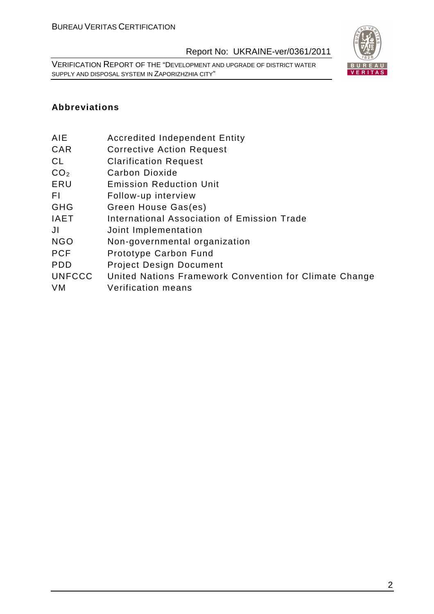VERIFICATION REPORT OF THE "DEVELOPMENT AND UPGRADE OF DISTRICT WATER SUPPLY AND DISPOSAL SYSTEM IN ZAPORIZHZHIA CITY"



#### **Abbreviations**

- AIE Accredited Independent Entity
- CAR Corrective Action Request
- CL Clarification Request
- CO<sub>2</sub> Carbon Dioxide
- ERU Emission Reduction Unit
- FI Follow-up interview
- GHG Green House Gas(es)
- IAET International Association of Emission Trade
- JI Joint Implementation
- NGO Non-governmental organization
- PCF Prototype Carbon Fund
- PDD Project Design Document
- UNFCCC United Nations Framework Convention for Climate Change
- VM Verification means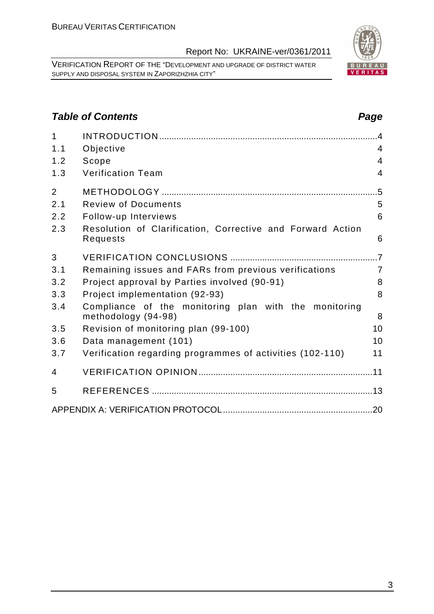VERIFICATION REPORT OF THE "DEVELOPMENT AND UPGRADE OF DISTRICT WATER SUPPLY AND DISPOSAL SYSTEM IN ZAPORIZHZHIA CITY"

1 INTRODUCTION .........................................................................................4 1.1 Objective 4 1.2 Scope 4 1.3 Verification Team 4

2 METHODOLOGY ........................................................................................5 2.1 Review of Documents 5

## **Table of Contents Page 2014**

| 2.2 | Follow-up Interviews                                                         | 6              |
|-----|------------------------------------------------------------------------------|----------------|
| 2.3 | Resolution of Clarification, Corrective and Forward Action<br>Requests       | 6              |
| 3   |                                                                              | .7             |
| 3.1 | Remaining issues and FARs from previous verifications                        | $\overline{7}$ |
| 3.2 | Project approval by Parties involved (90-91)                                 | 8              |
| 3.3 | Project implementation (92-93)                                               | 8              |
| 3.4 | Compliance of the monitoring plan with the monitoring<br>methodology (94-98) | 8              |
| 3.5 | Revision of monitoring plan (99-100)                                         | 10             |
| 3.6 | Data management (101)                                                        | 10             |
| 3.7 | Verification regarding programmes of activities (102-110)                    | 11             |
| 4   |                                                                              |                |
| 5   |                                                                              |                |
|     |                                                                              |                |
|     |                                                                              |                |
|     |                                                                              |                |
|     |                                                                              |                |
|     |                                                                              |                |
|     |                                                                              |                |
|     |                                                                              |                |
|     |                                                                              |                |

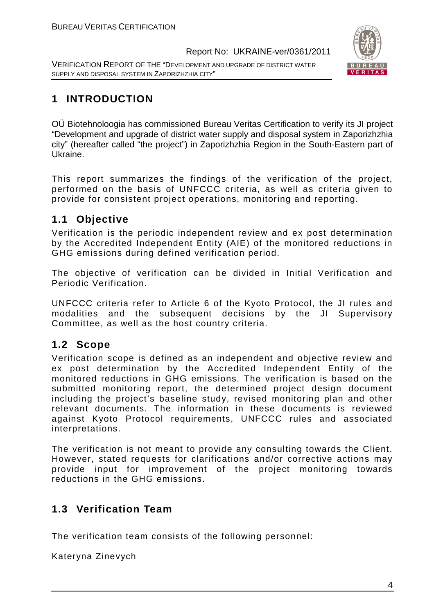VERIFICATION REPORT OF THE "DEVELOPMENT AND UPGRADE OF DISTRICT WATER SUPPLY AND DISPOSAL SYSTEM IN ZAPORIZHZHIA CITY"



# **1 INTRODUCTION**

OÜ Biotehnoloogia has commissioned Bureau Veritas Certification to verify its JI project "Development and upgrade of district water supply and disposal system in Zaporizhzhia city" (hereafter called "the project") in Zaporizhzhia Region in the South-Eastern part of Ukraine.

This report summarizes the findings of the verification of the project, performed on the basis of UNFCCC criteria, as well as criteria given to provide for consistent project operations, monitoring and reporting.

# **1.1 Objective**

Verification is the periodic independent review and ex post determination by the Accredited Independent Entity (AIE) of the monitored reductions in GHG emissions during defined verification period.

The objective of verification can be divided in Initial Verification and Periodic Verification.

UNFCCC criteria refer to Article 6 of the Kyoto Protocol, the JI rules and modalities and the subsequent decisions by the JI Supervisory Committee, as well as the host country criteria.

# **1.2 Scope**

Verification scope is defined as an independent and objective review and ex post determination by the Accredited Independent Entity of the monitored reductions in GHG emissions. The verification is based on the submitted monitoring report, the determined project design document including the project's baseline study, revised monitoring plan and other relevant documents. The information in these documents is reviewed against Kyoto Protocol requirements, UNFCCC rules and associated interpretations.

The verification is not meant to provide any consulting towards the Client. However, stated requests for clarifications and/or corrective actions may provide input for improvement of the project monitoring towards reductions in the GHG emissions.

# **1.3 Verification Team**

The verification team consists of the following personnel:

Kateryna Zinevych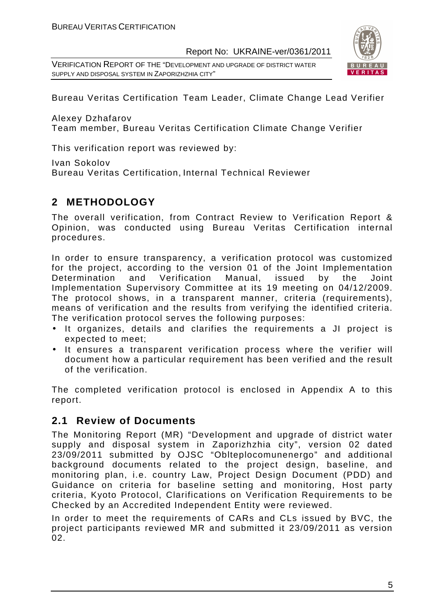VERIFICATION REPORT OF THE "DEVELOPMENT AND UPGRADE OF DISTRICT WATER SUPPLY AND DISPOSAL SYSTEM IN ZAPORIZHZHIA CITY"



Bureau Veritas Certification Team Leader, Climate Change Lead Verifier

Alexey Dzhafarov

Team member, Bureau Veritas Certification Climate Change Verifier

This verification report was reviewed by:

Ivan Sokolov

Bureau Veritas Certification, Internal Technical Reviewer

# **2 METHODOLOGY**

The overall verification, from Contract Review to Verification Report & Opinion, was conducted using Bureau Veritas Certification internal procedures.

In order to ensure transparency, a verification protocol was customized for the project, according to the version 01 of the Joint Implementation Determination and Verification Manual, issued by the Joint Implementation Supervisory Committee at its 19 meeting on 04/12/2009. The protocol shows, in a transparent manner, criteria (requirements), means of verification and the results from verifying the identified criteria. The verification protocol serves the following purposes:

- It organizes, details and clarifies the requirements a JI project is expected to meet;
- It ensures a transparent verification process where the verifier will document how a particular requirement has been verified and the result of the verification.

The completed verification protocol is enclosed in Appendix A to this report.

### **2.1 Review of Documents**

The Monitoring Report (MR) "Development and upgrade of district water supply and disposal system in Zaporizhzhia city", version 02 dated 23/09/2011 submitted by OJSC "Oblteplocomunenergo" and additional background documents related to the project design, baseline, and monitoring plan, i.e. country Law, Project Design Document (PDD) and Guidance on criteria for baseline setting and monitoring, Host party criteria, Kyoto Protocol, Clarifications on Verification Requirements to be Checked by an Accredited Independent Entity were reviewed.

In order to meet the requirements of CARs and CLs issued by BVC, the project participants reviewed MR and submitted it 23/09/2011 as version 02.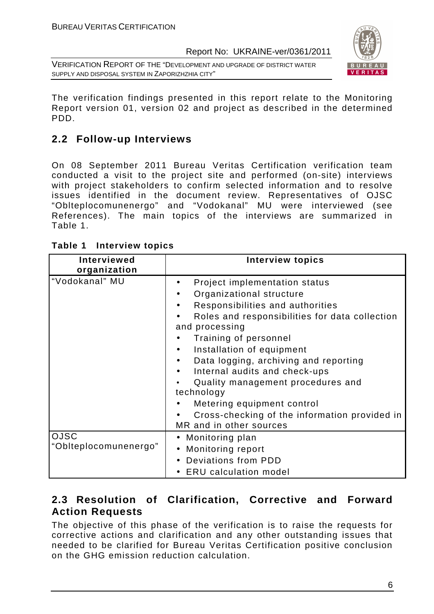VERIFICATION REPORT OF THE "DEVELOPMENT AND UPGRADE OF DISTRICT WATER SUPPLY AND DISPOSAL SYSTEM IN ZAPORIZHZHIA CITY"



The verification findings presented in this report relate to the Monitoring Report version 01, version 02 and project as described in the determined PDD.

# **2.2 Follow-up Interviews**

On 08 September 2011 Bureau Veritas Certification verification team conducted a visit to the project site and performed (on-site) interviews with project stakeholders to confirm selected information and to resolve issues identified in the document review. Representatives of OJSC "Oblteplocomunenergo" and "Vodokanal" MU were interviewed (see References). The main topics of the interviews are summarized in Table 1.

| <b>Interviewed</b><br>organization   | <b>Interview topics</b>                                                                                                                                                                                                                                                                                                                                                                                                                                        |
|--------------------------------------|----------------------------------------------------------------------------------------------------------------------------------------------------------------------------------------------------------------------------------------------------------------------------------------------------------------------------------------------------------------------------------------------------------------------------------------------------------------|
| "Vodokanal" MU                       | Project implementation status<br>Organizational structure<br>Responsibilities and authorities<br>Roles and responsibilities for data collection<br>and processing<br>Training of personnel<br>Installation of equipment<br>Data logging, archiving and reporting<br>Internal audits and check-ups<br>Quality management procedures and<br>technology<br>Metering equipment control<br>Cross-checking of the information provided in<br>MR and in other sources |
| <b>OJSC</b><br>"Oblteplocomunenergo" | • Monitoring plan<br>Monitoring report<br>Deviations from PDD<br><b>ERU</b> calculation model                                                                                                                                                                                                                                                                                                                                                                  |

# **2.3 Resolution of Clarification, Corrective and Forward Action Requests**

The objective of this phase of the verification is to raise the requests for corrective actions and clarification and any other outstanding issues that needed to be clarified for Bureau Veritas Certification positive conclusion on the GHG emission reduction calculation.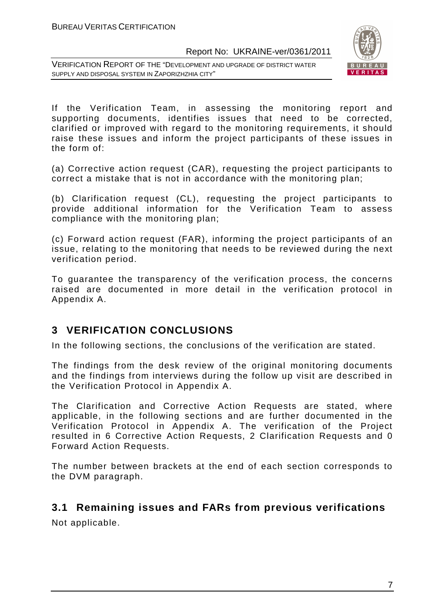VERIFICATION REPORT OF THE "DEVELOPMENT AND UPGRADE OF DISTRICT WATER SUPPLY AND DISPOSAL SYSTEM IN ZAPORIZHZHIA CITY"



If the Verification Team, in assessing the monitoring report and supporting documents, identifies issues that need to be corrected, clarified or improved with regard to the monitoring requirements, it should raise these issues and inform the project participants of these issues in the form of:

(a) Corrective action request (CAR), requesting the project participants to correct a mistake that is not in accordance with the monitoring plan;

(b) Clarification request (CL), requesting the project participants to provide additional information for the Verification Team to assess compliance with the monitoring plan;

(c) Forward action request (FAR), informing the project participants of an issue, relating to the monitoring that needs to be reviewed during the next verification period.

To guarantee the transparency of the verification process, the concerns raised are documented in more detail in the verification protocol in Appendix A.

### **3 VERIFICATION CONCLUSIONS**

In the following sections, the conclusions of the verification are stated.

The findings from the desk review of the original monitoring documents and the findings from interviews during the follow up visit are described in the Verification Protocol in Appendix A.

The Clarification and Corrective Action Requests are stated, where applicable, in the following sections and are further documented in the Verification Protocol in Appendix A. The verification of the Project resulted in 6 Corrective Action Requests, 2 Clarification Requests and 0 Forward Action Requests.

The number between brackets at the end of each section corresponds to the DVM paragraph.

#### **3.1 Remaining issues and FARs from previous verifications**

Not applicable.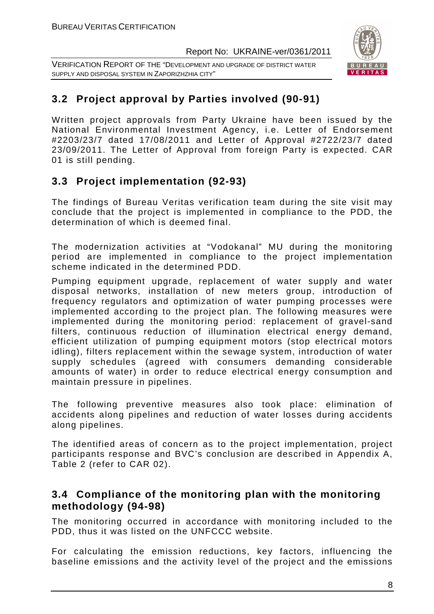VERIFICATION REPORT OF THE "DEVELOPMENT AND UPGRADE OF DISTRICT WATER SUPPLY AND DISPOSAL SYSTEM IN ZAPORIZHZHIA CITY"



# **3.2 Project approval by Parties involved (90-91)**

Written project approvals from Party Ukraine have been issued by the National Environmental Investment Agency, i.e. Letter of Endorsement #2203/23/7 dated 17/08/2011 and Letter of Approval #2722/23/7 dated 23/09/2011. The Letter of Approval from foreign Party is expected. CAR 01 is still pending.

# **3.3 Project implementation (92-93)**

The findings of Bureau Veritas verification team during the site visit may conclude that the project is implemented in compliance to the PDD, the determination of which is deemed final.

The modernization activities at "Vodokanal" MU during the monitoring period are implemented in compliance to the project implementation scheme indicated in the determined PDD.

Pumping equipment upgrade, replacement of water supply and water disposal networks, installation of new meters group, introduction of frequency regulators and optimization of water pumping processes were implemented according to the project plan. The following measures were implemented during the monitoring period: replacement of gravel-sand filters, continuous reduction of illumination electrical energy demand, efficient utilization of pumping equipment motors (stop electrical motors idling), filters replacement within the sewage system, introduction of water supply schedules (agreed with consumers demanding considerable amounts of water) in order to reduce electrical energy consumption and maintain pressure in pipelines.

The following preventive measures also took place: elimination of accidents along pipelines and reduction of water losses during accidents along pipelines.

The identified areas of concern as to the project implementation, project participants response and BVC's conclusion are described in Appendix A, Table 2 (refer to CAR 02).

#### **3.4 Compliance of the monitoring plan with the monitoring methodology (94-98)**

The monitoring occurred in accordance with monitoring included to the PDD, thus it was listed on the UNFCCC website.

For calculating the emission reductions, key factors, influencing the baseline emissions and the activity level of the project and the emissions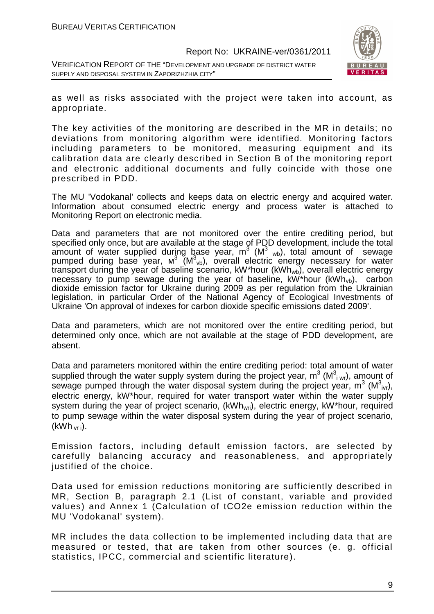VERIFICATION REPORT OF THE "DEVELOPMENT AND UPGRADE OF DISTRICT WATER SUPPLY AND DISPOSAL SYSTEM IN ZAPORIZHZHIA CITY"



as well as risks associated with the project were taken into account, as appropriate.

The key activities of the monitoring are described in the MR in details; no deviations from monitoring algorithm were identified. Monitoring factors including parameters to be monitored, measuring equipment and its calibration data are clearly described in Section B of the monitoring report and electronic additional documents and fully coincide with those one prescribed in PDD.

The MU 'Vodokanal' collects and keeps data on electric energy and acquired water. Information about consumed electric energy and process water is attached to Monitoring Report on electronic media.

Data and parameters that are not monitored over the entire crediting period, but specified only once, but are available at the stage of PDD development, include the total amount of water supplied during base year,  $m^3$  (M<sup>3</sup> <sub>wb</sub>), total amount of sewage pumped during base year, м<sup>3</sup> (M<sup>3</sup><sub>vb</sub>), overall electric energy necessary for water transport during the year of baseline scenario, kW\*hour (kWh<sub>wb</sub>), overall electric energy necessary to pump sewage during the year of baseline,  $kW^*$ hour  $(kWh_{vb})$ , carbon dioxide emission factor for Ukraine during 2009 as per regulation from the Ukrainian legislation, in particular Order of the National Agency of Ecological Investments of Ukraine 'On approval of indexes for carbon dioxide specific emissions dated 2009'.

Data and parameters, which are not monitored over the entire crediting period, but determined only once, which are not available at the stage of PDD development, are absent.

Data and parameters monitored within the entire crediting period: total amount of water supplied through the water supply system during the project year,  $m^3$  (M $^3$ <sub>i wr</sub>), amount of sewage pumped through the water disposal system during the project year,  $m^3$  (M $^3$ <sub>ivr</sub>), electric energy, kW\*hour, required for water transport water within the water supply system during the year of project scenario, (kWh<sub>wri</sub>), electric energy, kW\*hour, required to pump sewage within the water disposal system during the year of project scenario,  $(kWh<sub>vr i</sub>)$ .

Emission factors, including default emission factors, are selected by carefully balancing accuracy and reasonableness, and appropriately justified of the choice.

Data used for emission reductions monitoring are sufficiently described in MR, Section B, paragraph 2.1 (List of constant, variable and provided values) and Annex 1 (Calculation of tCO2e emission reduction within the MU 'Vodokanal' system).

MR includes the data collection to be implemented including data that are measured or tested, that are taken from other sources (e. g. official statistics, IPCC, commercial and scientific literature).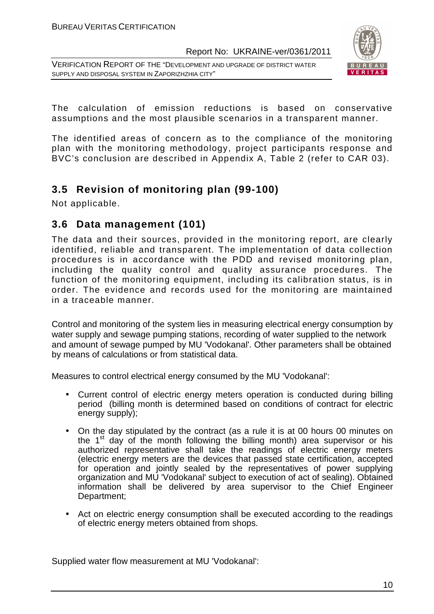VERIFICATION REPORT OF THE "DEVELOPMENT AND UPGRADE OF DISTRICT WATER SUPPLY AND DISPOSAL SYSTEM IN ZAPORIZHZHIA CITY"



The calculation of emission reductions is based on conservative assumptions and the most plausible scenarios in a transparent manner.

The identified areas of concern as to the compliance of the monitoring plan with the monitoring methodology, project participants response and BVC's conclusion are described in Appendix A, Table 2 (refer to CAR 03).

### **3.5 Revision of monitoring plan (99-100)**

Not applicable.

#### **3.6 Data management (101)**

The data and their sources, provided in the monitoring report, are clearly identified, reliable and transparent. The implementation of data collection procedures is in accordance with the PDD and revised monitoring plan, including the quality control and quality assurance procedures. The function of the monitoring equipment, including its calibration status, is in order. The evidence and records used for the monitoring are maintained in a traceable manner.

Control and monitoring of the system lies in measuring electrical energy consumption by water supply and sewage pumping stations, recording of water supplied to the network and amount of sewage pumped by MU 'Vodokanal'. Other parameters shall be obtained by means of calculations or from statistical data.

Measures to control electrical energy consumed by the MU 'Vodokanal':

- Current control of electric energy meters operation is conducted during billing period (billing month is determined based on conditions of contract for electric energy supply);
- On the day stipulated by the contract (as a rule it is at 00 hours 00 minutes on the  $1<sup>st</sup>$  day of the month following the billing month) area supervisor or his authorized representative shall take the readings of electric energy meters (electric energy meters are the devices that passed state certification, accepted for operation and jointly sealed by the representatives of power supplying organization and MU 'Vodokanal' subject to execution of act of sealing). Obtained information shall be delivered by area supervisor to the Chief Engineer Department;
- Act on electric energy consumption shall be executed according to the readings of electric energy meters obtained from shops.

Supplied water flow measurement at MU 'Vodokanal':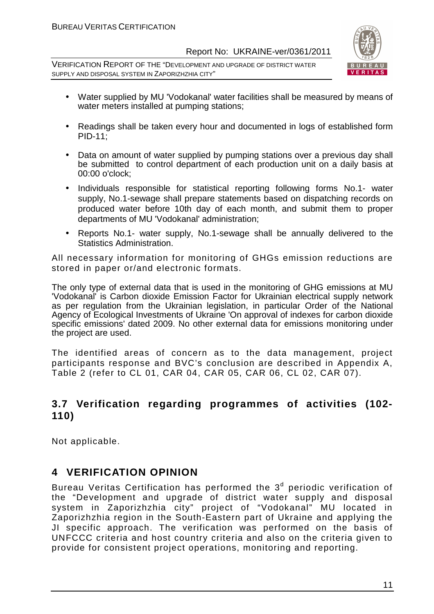VERIFICATION REPORT OF THE "DEVELOPMENT AND UPGRADE OF DISTRICT WATER SUPPLY AND DISPOSAL SYSTEM IN ZAPORIZHZHIA CITY"



- Water supplied by MU 'Vodokanal' water facilities shall be measured by means of water meters installed at pumping stations;
- Readings shall be taken every hour and documented in logs of established form PID-11;
- Data on amount of water supplied by pumping stations over a previous day shall be submitted to control department of each production unit on a daily basis at 00:00 o'clock;
- Individuals responsible for statistical reporting following forms No.1- water supply, No.1-sewage shall prepare statements based on dispatching records on produced water before 10th day of each month, and submit them to proper departments of MU 'Vodokanal' administration;
- Reports No.1- water supply, No.1-sewage shall be annually delivered to the Statistics Administration.

All necessary information for monitoring of GHGs emission reductions are stored in paper or/and electronic formats.

The only type of external data that is used in the monitoring of GHG emissions at MU 'Vodokanal' is Carbon dioxide Emission Factor for Ukrainian electrical supply network as per regulation from the Ukrainian legislation, in particular Order of the National Agency of Ecological Investments of Ukraine 'On approval of indexes for carbon dioxide specific emissions' dated 2009. No other external data for emissions monitoring under the project are used.

The identified areas of concern as to the data management, project participants response and BVC's conclusion are described in Appendix A, Table 2 (refer to CL 01, CAR 04, CAR 05, CAR 06, CL 02, CAR 07).

#### **3.7 Verification regarding programmes of activities (102- 110)**

Not applicable.

### **4 VERIFICATION OPINION**

Bureau Veritas Certification has performed the 3<sup>d</sup> periodic verification of the "Development and upgrade of district water supply and disposal system in Zaporizhzhia city" project of "Vodokanal" MU located in Zaporizhzhia region in the South-Eastern part of Ukraine and applying the JI specific approach. The verification was performed on the basis of UNFCCC criteria and host country criteria and also on the criteria given to provide for consistent project operations, monitoring and reporting.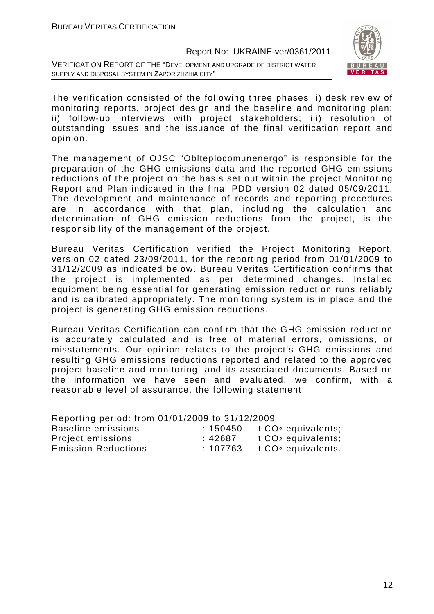VERIFICATION REPORT OF THE "DEVELOPMENT AND UPGRADE OF DISTRICT WATER SUPPLY AND DISPOSAL SYSTEM IN ZAPORIZHZHIA CITY"



The verification consisted of the following three phases: i) desk review of monitoring reports, project design and the baseline and monitoring plan; ii) follow-up interviews with project stakeholders; iii) resolution of outstanding issues and the issuance of the final verification report and opinion.

The management of OJSC "Oblteplocomunenergo" is responsible for the preparation of the GHG emissions data and the reported GHG emissions reductions of the project on the basis set out within the project Monitoring Report and Plan indicated in the final PDD version 02 dated 05/09/2011. The development and maintenance of records and reporting procedures are in accordance with that plan, including the calculation and determination of GHG emission reductions from the project, is the responsibility of the management of the project.

Bureau Veritas Certification verified the Project Monitoring Report, version 02 dated 23/09/2011, for the reporting period from 01/01/2009 to 31/12/2009 as indicated below. Bureau Veritas Certification confirms that the project is implemented as per determined changes. Installed equipment being essential for generating emission reduction runs reliably and is calibrated appropriately. The monitoring system is in place and the project is generating GHG emission reductions.

Bureau Veritas Certification can confirm that the GHG emission reduction is accurately calculated and is free of material errors, omissions, or misstatements. Our opinion relates to the project's GHG emissions and resulting GHG emissions reductions reported and related to the approved project baseline and monitoring, and its associated documents. Based on the information we have seen and evaluated, we confirm, with a reasonable level of assurance, the following statement:

| Reporting period: from 01/01/2009 to 31/12/2009 |          |                                |
|-------------------------------------------------|----------|--------------------------------|
| <b>Baseline emissions</b>                       | : 150450 | t CO <sub>2</sub> equivalents; |
| Project emissions                               | :42687   | t CO <sub>2</sub> equivalents; |
| <b>Emission Reductions</b>                      | :107763  | t CO <sub>2</sub> equivalents. |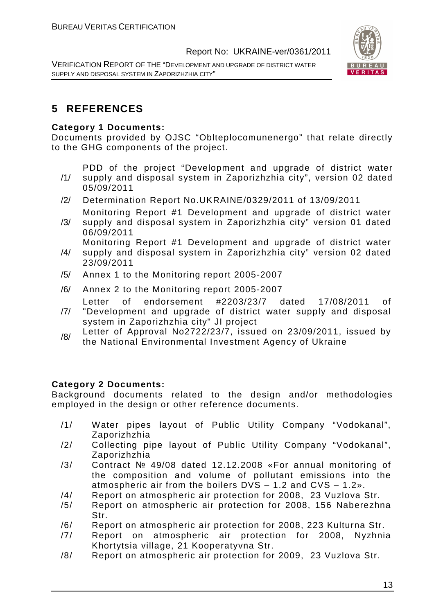VERIFICATION REPORT OF THE "DEVELOPMENT AND UPGRADE OF DISTRICT WATER SUPPLY AND DISPOSAL SYSTEM IN ZAPORIZHZHIA CITY"



# **5 REFERENCES**

#### **Category 1 Documents:**

Documents provided by OJSC "Oblteplocomunenergo" that relate directly to the GHG components of the project.

PDD of the project "Development and upgrade of district water

- /1/ supply and disposal system in Zaporizhzhia city", version 02 dated 05/09/2011
- /2/ Determination Report No.UKRAINE/0329/2011 of 13/09/2011
- /3/ Monitoring Report #1 Development and upgrade of district water supply and disposal system in Zaporizhzhia city" version 01 dated 06/09/2011

Monitoring Report #1 Development and upgrade of district water

- /4/ supply and disposal system in Zaporizhzhia city" version 02 dated 23/09/2011
- /5/ Annex 1 to the Monitoring report 2005-2007
- /6/ Annex 2 to the Monitoring report 2005-2007

Letter of endorsement #2203/23/7 dated 17/08/2011 of

- /7/ "Development and upgrade of district water supply and disposal system in Zaporizhzhia city" JI project
- /8/ Letter of Approval No2722/23/7, issued on 23/09/2011, issued by the National Environmental Investment Agency of Ukraine

#### **Category 2 Documents:**

Background documents related to the design and/or methodologies employed in the design or other reference documents.

- /1/ Water pipes layout of Public Utility Company "Vodokanal", Zaporizhzhia
- /2/ Collecting pipe layout of Public Utility Company "Vodokanal", Zaporizhzhia
- /3/ Contract № 49/08 dated 12.12.2008 «For annual monitoring of the composition and volume of pollutant emissions into the atmospheric air from the boilers DVS – 1.2 and CVS – 1.2».
- /4/ Report on atmospheric air protection for 2008, 23 Vuzlova Str.
- /5/ Report on atmospheric air protection for 2008, 156 Naberezhna Str.
- /6/ Report on atmospheric air protection for 2008, 223 Kulturna Str.
- /7/ Report on atmospheric air protection for 2008, Nyzhnia Khortytsia village, 21 Kooperatyvna Str.
- /8/ Report on atmospheric air protection for 2009, 23 Vuzlova Str.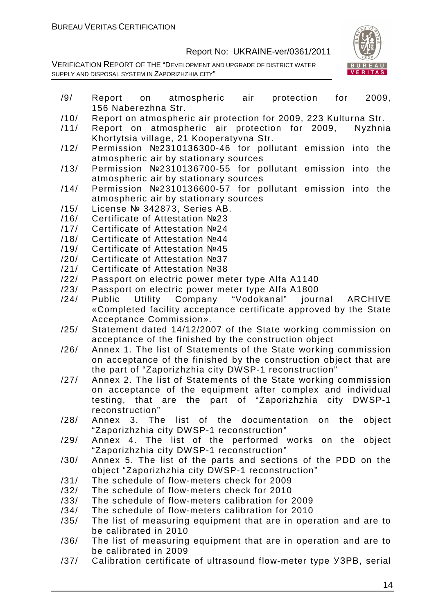

- /9/ Report on atmospheric air protection for 2009, 156 Naberezhna Str.
- /10/ Report on atmospheric air protection for 2009, 223 Kulturna Str.
- /11/ Report on atmospheric air protection for 2009, Nyzhnia Khortytsia village, 21 Kooperatyvna Str.
- /12/ Permission №2310136300-46 for pollutant emission into the atmospheric air by stationary sources
- /13/ Permission №2310136700-55 for pollutant emission into the atmospheric air by stationary sources
- /14/ Permission №2310136600-57 for pollutant emission into the atmospheric air by stationary sources
- /15/ License № 342873, Series АВ.
- /16/ Certificate of Attestation №23
- /17/ Certificate of Attestation №24
- /18/ Certificate of Attestation №44
- /19/ Certificate of Attestation №45
- /20/ Certificate of Attestation №37
- /21/ Certificate of Attestation №38
- /22/ Passport on electric power meter type Alfa A1140
- /23/ Passport on electric power meter type Alfa А1800
- /24/ Public Utility Company "Vodokanal" journal ARCHIVE «Completed facility acceptance certificate approved by the State Acceptance Commission».
- /25/ Statement dated 14/12/2007 of the State working commission on acceptance of the finished by the construction object
- /26/ Annex 1. The list of Statements of the State working commission on acceptance of the finished by the construction object that are the part of "Zaporizhzhia city DWSP-1 reconstruction"
- /27/ Annex 2. The list of Statements of the State working commission on acceptance of the equipment after complex and individual testing, that are the part of "Zaporizhzhia city DWSP-1 reconstruction"
- /28/ Annex 3. The list of the documentation on the object "Zaporizhzhia city DWSP-1 reconstruction"
- /29/ Annex 4. The list of the performed works on the object "Zaporizhzhia city DWSP-1 reconstruction"
- /30/ Annex 5. The list of the parts and sections of the PDD on the object "Zaporizhzhia city DWSP-1 reconstruction"
- /31/ The schedule of flow-meters check for 2009
- /32/ The schedule of flow-meters check for 2010
- /33/ The schedule of flow-meters calibration for 2009
- /34/ The schedule of flow-meters calibration for 2010
- /35/ The list of measuring equipment that are in operation and are to be calibrated in 2010
- /36/ The list of measuring equipment that are in operation and are to be calibrated in 2009
- /37/ Calibration certificate of ultrasound flow-meter type УЗРВ, serial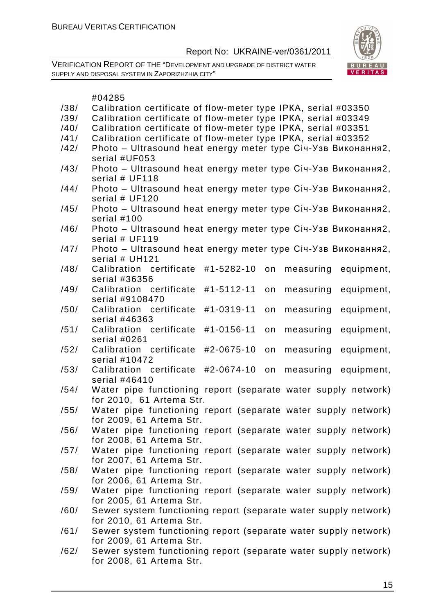

|      | #04285                                                                          |
|------|---------------------------------------------------------------------------------|
| /38/ | Calibration certificate of flow-meter type IPKA, serial #03350                  |
| /39/ | Calibration certificate of flow-meter type IPKA, serial #03349                  |
| /40/ | Calibration certificate of flow-meter type IPKA, serial #03351                  |
| /41/ | Calibration certificate of flow-meter type IPKA, serial #03352                  |
| /42/ | Photo - Ultrasound heat energy meter type Січ-Узв Виконання2,                   |
|      | serial #UF053                                                                   |
| /43/ | Photo - Ultrasound heat energy meter type Ciч-Узв Виконання2,                   |
|      | serial # UF118                                                                  |
| /44/ | Photo - Ultrasound heat energy meter type Ciu-Y3B Виконання2,<br>serial # UF120 |
| /45/ | Photo - Ultrasound heat energy meter type Ciu-Y3B Виконання2,                   |
|      | serial #100                                                                     |
| /46/ | Photo - Ultrasound heat energy meter type Ciu-Y3B Виконання2,                   |
|      | serial # UF119                                                                  |
| /47/ | Photo - Ultrasound heat energy meter type Ciч-Узв Виконання2,                   |
|      | serial # UH121                                                                  |
| /48/ | Calibration certificate<br>#1-5282-10<br>measuring<br>on<br>equipment,          |
|      | serial #36356                                                                   |
| /49/ | Calibration certificate<br>#1-5112-11<br>equipment,<br>measuring<br>on          |
|      | serial #9108470                                                                 |
| /50/ | #1-0319-11<br>Calibration certificate<br>on<br>measuring<br>equipment,          |
|      | serial #46363                                                                   |
| /51/ | #1-0156-11<br>equipment,<br>Calibration certificate<br>on<br>measuring          |
|      | serial #0261                                                                    |
| /52/ | Calibration certificate<br>#2-0675-10<br>measuring<br>equipment,<br>on          |
|      | serial #10472                                                                   |
| /53/ | Calibration certificate<br>#2-0674-10<br>on<br>measuring<br>equipment,          |
|      | serial #46410                                                                   |
| /54/ | Water pipe functioning report (separate water supply network)                   |
|      | for 2010, 61 Artema Str.                                                        |
| /55/ | Water pipe functioning report (separate water supply network)                   |
|      | for 2009, 61 Artema Str.                                                        |
| /56/ | Water pipe functioning report (separate water supply network)                   |
|      | for 2008, 61 Artema Str.                                                        |
| /57/ | Water pipe functioning report (separate water supply network)                   |
|      | for 2007, 61 Artema Str.                                                        |
| /58/ | Water pipe functioning report (separate water supply network)                   |
|      | for 2006, 61 Artema Str.                                                        |
| /59/ | Water pipe functioning report (separate water supply network)                   |
|      | for 2005, 61 Artema Str.                                                        |
| /60/ | Sewer system functioning report (separate water supply network)                 |
|      | for 2010, 61 Artema Str.                                                        |

- /61/ Sewer system functioning report (separate water supply network) for 2009, 61 Artema Str.
- /62/ Sewer system functioning report (separate water supply network) for 2008, 61 Artema Str.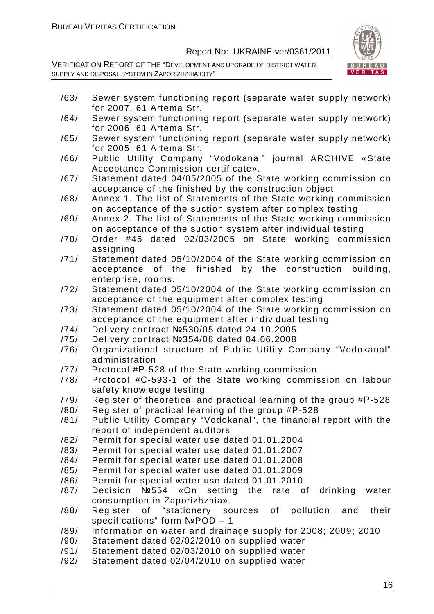

- /63/ Sewer system functioning report (separate water supply network) for 2007, 61 Artema Str.
- /64/ Sewer system functioning report (separate water supply network) for 2006, 61 Artema Str.
- /65/ Sewer system functioning report (separate water supply network) for 2005, 61 Artema Str.
- /66/ Public Utility Company "Vodokanal" journal ARCHIVE «State Acceptance Commission certificate».
- /67/ Statement dated 04/05/2005 of the State working commission on acceptance of the finished by the construction object
- /68/ Annex 1. The list of Statements of the State working commission on acceptance of the suction system after complex testing
- /69/ Annex 2. The list of Statements of the State working commission on acceptance of the suction system after individual testing
- /70/ Order #45 dated 02/03/2005 on State working commission assigning
- /71/ Statement dated 05/10/2004 of the State working commission on acceptance of the finished by the construction building, enterprise, rooms.
- /72/ Statement dated 05/10/2004 of the State working commission on acceptance of the equipment after complex testing
- /73/ Statement dated 05/10/2004 of the State working commission on acceptance of the equipment after individual testing
- /74/ Delivery contract №530/05 dated 24.10.2005
- /75/ Delivery contract №354/08 dated 04.06.2008
- /76/ Organizational structure of Public Utility Company "Vodokanal" administration
- /77/ Protocol #Р-528 of the State working commission
- /78/ Protocol #С-593-1 of the State working commission on labour safety knowledge testing
- /79/ Register of theoretical and practical learning of the group #Р-528
- /80/ Register of practical learning of the group #Р-528
- /81/ Public Utility Company "Vodokanal", the financial report with the report of independent auditors
- /82/ Permit for special water use dated 01.01.2004
- /83/ Permit for special water use dated 01.01.2007
- /84/ Permit for special water use dated 01.01.2008
- /85/ Permit for special water use dated 01.01.2009
- /86/ Permit for special water use dated 01.01.2010
- /87/ Decision №554 «On setting the rate of drinking water consumption in Zaporizhzhia».
- /88/ Register of "stationery sources of pollution and their specifications" form NºPOD - 1
- /89/ Information on water and drainage supply for 2008; 2009; 2010
- /90/ Statement dated 02/02/2010 on supplied water
- /91/ Statement dated 02/03/2010 on supplied water
- /92/ Statement dated 02/04/2010 on supplied water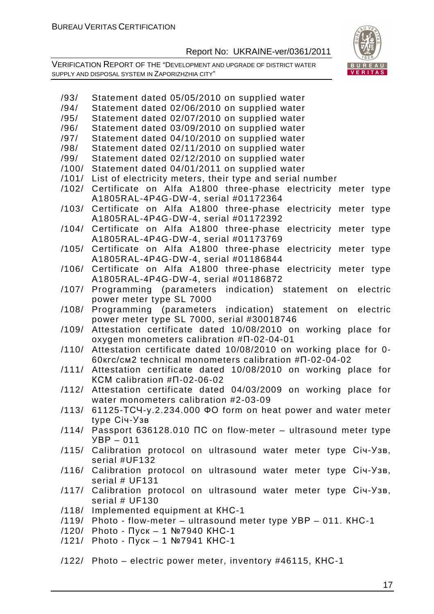VERIFICATION REPORT OF THE "DEVELOPMENT AND UPGRADE OF DISTRICT WATER SUPPLY AND DISPOSAL SYSTEM IN ZAPORIZHZHIA CITY"



/93/ Statement dated 05/05/2010 on supplied water /94/ Statement dated 02/06/2010 on supplied water /95/ Statement dated 02/07/2010 on supplied water /96/ Statement dated 03/09/2010 on supplied water /97/ Statement dated 04/10/2010 on supplied water /98/ Statement dated 02/11/2010 on supplied water /99/ Statement dated 02/12/2010 on supplied water /100/ Statement dated 04/01/2011 on supplied water /101/ List of electricity meters, their type and serial number /102/ Certificate on Alfa A1800 three-phase electricity meter type А1805RAL-4P4G-DW-4, serial #01172364 /103/ Certificate on Alfa A1800 three-phase electricity meter type А1805RAL-4P4G-DW-4, serial #01172392 /104/ Certificate on Alfa A1800 three-phase electricity meter type А1805RAL-4P4G-DW-4, serial #01173769 /105/ Certificate on Alfa A1800 three-phase electricity meter type А1805RAL-4P4G-DW-4, serial #01186844 /106/ Certificate on Alfa A1800 three-phase electricity meter type А1805RAL-4P4G-DW-4, serial #01186872 /107/ Programming (parameters indication) statement on electric power meter type SL 7000 /108/ Programming (parameters indication) statement on electric power meter type SL 7000, serial #30018746 /109/ Attestation certificate dated 10/08/2010 on working place for oxygen monometers calibration #П-02-04-01 /110/ Attestation certificate dated 10/08/2010 on working place for 0- 60кгс/см2 technical monometers calibration #П-02-04-02 /111/ Attestation certificate dated 10/08/2010 on working place for КСМ calibration #П-02-06-02 /112/ Attestation certificate dated 04/03/2009 on working place for water monometers calibration #2-03-09 /113/ 61125-ТСЧ-у.2.234.000 ФО form on heat power and water meter type Січ-Узв /114/ Passport 636128.010 ПС on flow-meter – ultrasound meter type УВР – 011 /115/ Calibration protocol on ultrasound water meter type Січ-Узв, serial #UF132 /116/ Calibration protocol on ultrasound water meter type Січ-Узв, serial # UF131 /117/ Calibration protocol on ultrasound water meter type Січ-Узв, serial # UF130 /118/ Implemented equipment at КНС-1 /119/ Photo - flow-meter – ultrasound meter type УВР – 011. КНС-1 /120/ Photo - Пуск – 1 №7940 КНС-1 /121/ Photo - Пуск – 1 №7941 КНС-1 /122/ Photo – electric power meter, inventory #46115, КНС-1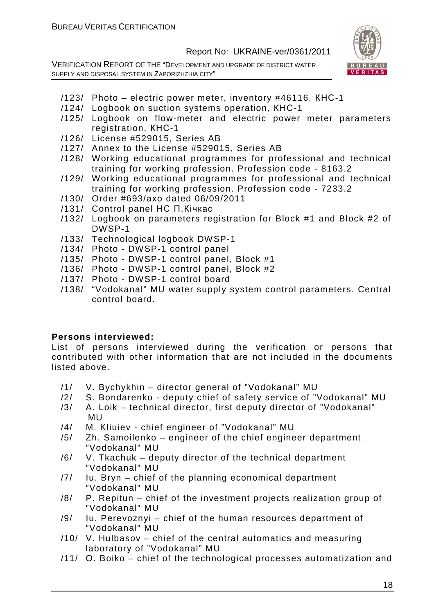VERIFICATION REPORT OF THE "DEVELOPMENT AND UPGRADE OF DISTRICT WATER SUPPLY AND DISPOSAL SYSTEM IN ZAPORIZHZHIA CITY"



- /123/ Photo electric power meter, inventory #46116, КНС-1
- /124/ Logbook on suction systems operation, КНС-1
- /125/ Logbook on flow-meter and electric power meter parameters registration, КНС-1
- /126/ License #529015, Series AB
- /127/ Annex to the License #529015, Series AB
- /128/ Working educational programmes for professional and technical training for working profession. Profession code - 8163.2
- /129/ Working educational programmes for professional and technical training for working profession. Profession code - 7233.2
- /130/ Order #693/ахо dated 06/09/2011
- /131/ Control panel НС П.Кічкас
- /132/ Logbook on parameters registration for Block #1 and Block #2 of DWSP-1
- /133/ Technological logbook DWSP-1
- /134/ Photo DWSP-1 control panel
- /135/ Photo DWSP-1 control panel, Block #1
- /136/ Photo DWSP-1 control panel, Block #2
- /137/ Photo DWSP-1 control board
- /138/ "Vodokanal" MU water supply system control parameters. Central control board.

#### **Persons interviewed:**

List of persons interviewed during the verification or persons that contributed with other information that are not included in the documents listed above.

- /1/ V. Bychykhin director general of "Vodokanal" MU
- /2/ S. Bondarenko deputy chief of safety service of "Vodokanal" MU
- /3/ A. Loik technical director, first deputy director of "Vodokanal" MU
- /4/ M. Kliuiev chief engineer of "Vodokanal" MU
- /5/ Zh. Samoilenko engineer of the chief engineer department "Vodokanal" MU
- /6/ V. Tkachuk deputy director of the technical department "Vodokanal" MU
- /7/ Iu. Bryn chief of the planning economical department "Vodokanal" MU
- /8/ P. Repitun chief of the investment projects realization group of "Vodokanal" MU
- /9/ Iu. Perevoznyi chief of the human resources department of "Vodokanal" MU
- /10/ V. Hulbasov chief of the central automatics and measuring laboratory of "Vodokanal" MU
- /11/ O. Boiko chief of the technological processes automatization and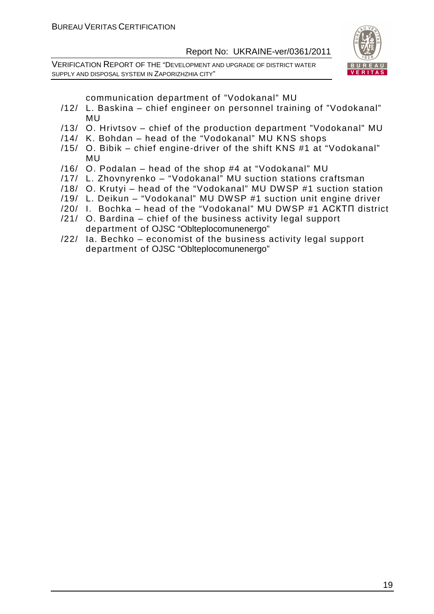VERIFICATION REPORT OF THE "DEVELOPMENT AND UPGRADE OF DISTRICT WATER SUPPLY AND DISPOSAL SYSTEM IN ZAPORIZHZHIA CITY"



communication department of "Vodokanal" MU

- /12/ L. Baskina chief engineer on personnel training of "Vodokanal" MU
- /13/ O. Hrivtsov chief of the production department "Vodokanal" MU
- /14/ K. Bohdan head of the "Vodokanal" MU KNS shops
- /15/ O. Bibik chief engine-driver of the shift KNS #1 at "Vodokanal" MU
- /16/ O. Podalan head of the shop #4 at "Vodokanal" MU
- /17/ L. Zhovnyrenko "Vodokanal" MU suction stations craftsman
- /18/ O. Krutyi head of the "Vodokanal" MU DWSP #1 suction station
- /19/ L. Deikun "Vodokanal" MU DWSP #1 suction unit engine driver
- /20/ I. Bochka head of the "Vodokanal" MU DWSP #1 АСКТП district
- /21/ O. Bardina chief of the business activity legal support department of OJSC "Oblteplocomunenergo"
- /22/ Ia. Bechko economist of the business activity legal support department of OJSC "Oblteplocomunenergo"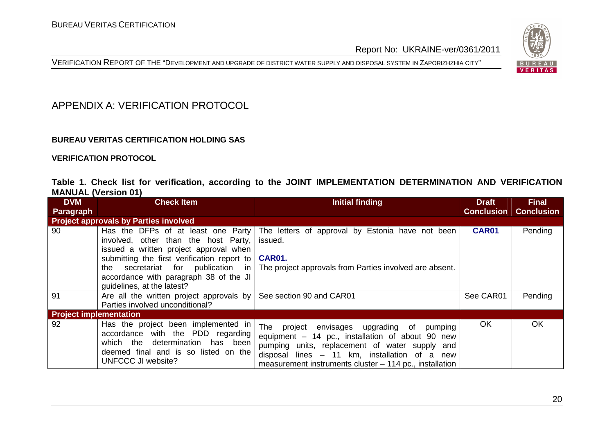



#### APPENDIX A: VERIFICATION PROTOCOL

#### **BUREAU VERITAS CERTIFICATION HOLDING SAS**

**VERIFICATION PROTOCOL** 

|                            |  |  | Table 1. Check list for verification, according to the JOINT IMPLEMENTATION DETERMINATION AND VERIFICATION |  |  |
|----------------------------|--|--|------------------------------------------------------------------------------------------------------------|--|--|
| <b>MANUAL (Version 01)</b> |  |  |                                                                                                            |  |  |

| <b>DVM</b>                    | <b>Check Item</b>                                                                                                                                                                                                                                                                    | Initial finding                                                                                                                                                                                                                                                    | <b>Draft</b>      | <b>Final</b>      |
|-------------------------------|--------------------------------------------------------------------------------------------------------------------------------------------------------------------------------------------------------------------------------------------------------------------------------------|--------------------------------------------------------------------------------------------------------------------------------------------------------------------------------------------------------------------------------------------------------------------|-------------------|-------------------|
| Paragraph                     |                                                                                                                                                                                                                                                                                      |                                                                                                                                                                                                                                                                    | <b>Conclusion</b> | <b>Conclusion</b> |
|                               | <b>Project approvals by Parties involved</b>                                                                                                                                                                                                                                         |                                                                                                                                                                                                                                                                    |                   |                   |
| 90                            | Has the DFPs of at least one Party<br>involved, other than the host Party,<br>issued a written project approval when<br>submitting the first verification report to<br>secretariat for publication in<br>the<br>accordance with paragraph 38 of the JI<br>quidelines, at the latest? | The letters of approval by Estonia have not been<br>issued.<br><b>CAR01.</b><br>The project approvals from Parties involved are absent.                                                                                                                            | <b>CAR01</b>      | Pending           |
| 91                            | Are all the written project approvals by<br>Parties involved unconditional?                                                                                                                                                                                                          | See section 90 and CAR01                                                                                                                                                                                                                                           | See CAR01         | Pending           |
| <b>Project implementation</b> |                                                                                                                                                                                                                                                                                      |                                                                                                                                                                                                                                                                    |                   |                   |
| 92                            | Has the project been implemented in<br>accordance with the PDD regarding<br>which the determination has been<br>deemed final and is so listed on the<br>UNFCCC JI website?                                                                                                           | The project<br>envisages upgrading of<br>pumping<br>equipment - 14 pc., installation of about 90 new<br>pumping units, replacement of water supply and<br>disposal lines - 11 km, installation of a new<br>measurement instruments cluster – 114 pc., installation | <b>OK</b>         | OK                |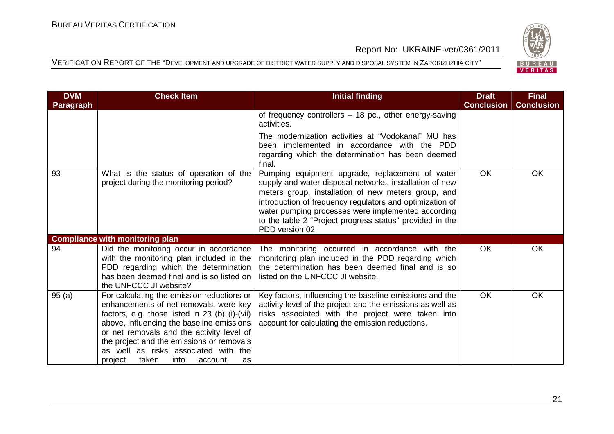

| <b>DVM</b> | <b>Check Item</b>                                                                                                                                                                                                                                                                                                                                                   | <b>Initial finding</b>                                                                                                                                                                                                                                                                                                                                             | <b>Draft</b>      | <b>Final</b>      |
|------------|---------------------------------------------------------------------------------------------------------------------------------------------------------------------------------------------------------------------------------------------------------------------------------------------------------------------------------------------------------------------|--------------------------------------------------------------------------------------------------------------------------------------------------------------------------------------------------------------------------------------------------------------------------------------------------------------------------------------------------------------------|-------------------|-------------------|
| Paragraph  |                                                                                                                                                                                                                                                                                                                                                                     |                                                                                                                                                                                                                                                                                                                                                                    | <b>Conclusion</b> | <b>Conclusion</b> |
|            |                                                                                                                                                                                                                                                                                                                                                                     | of frequency controllers - 18 pc., other energy-saving<br>activities.                                                                                                                                                                                                                                                                                              |                   |                   |
|            |                                                                                                                                                                                                                                                                                                                                                                     | The modernization activities at "Vodokanal" MU has<br>been implemented in accordance with the PDD<br>regarding which the determination has been deemed<br>final.                                                                                                                                                                                                   |                   |                   |
| 93         | What is the status of operation of the<br>project during the monitoring period?                                                                                                                                                                                                                                                                                     | Pumping equipment upgrade, replacement of water<br>supply and water disposal networks, installation of new<br>meters group, installation of new meters group, and<br>introduction of frequency regulators and optimization of<br>water pumping processes were implemented according<br>to the table 2 "Project progress status" provided in the<br>PDD version 02. | <b>OK</b>         | <b>OK</b>         |
|            | <b>Compliance with monitoring plan</b>                                                                                                                                                                                                                                                                                                                              |                                                                                                                                                                                                                                                                                                                                                                    |                   |                   |
| 94         | Did the monitoring occur in accordance<br>with the monitoring plan included in the<br>PDD regarding which the determination<br>has been deemed final and is so listed on<br>the UNFCCC JI website?                                                                                                                                                                  | The monitoring occurred in accordance with the<br>monitoring plan included in the PDD regarding which<br>the determination has been deemed final and is so<br>listed on the UNFCCC JI website.                                                                                                                                                                     | <b>OK</b>         | OK                |
| 95(a)      | For calculating the emission reductions or<br>enhancements of net removals, were key<br>factors, e.g. those listed in 23 (b) (i)-(vii)<br>above, influencing the baseline emissions<br>or net removals and the activity level of<br>the project and the emissions or removals<br>as well as risks associated with the<br>taken<br>into<br>project<br>account,<br>as | Key factors, influencing the baseline emissions and the<br>activity level of the project and the emissions as well as<br>risks associated with the project were taken into<br>account for calculating the emission reductions.                                                                                                                                     | <b>OK</b>         | <b>OK</b>         |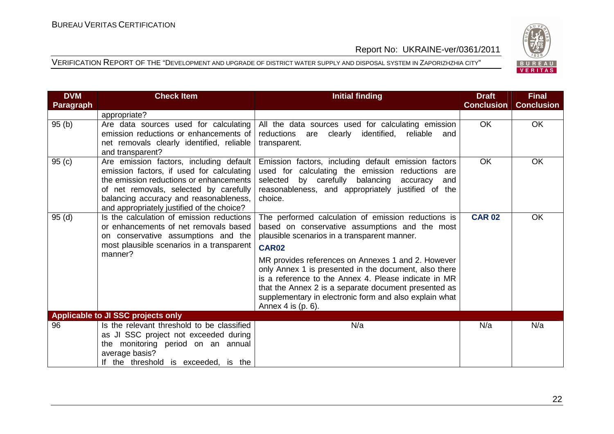

| <b>DVM</b>       | <b>Check Item</b>                                                                                                                                                                                                                                                 | <b>Initial finding</b>                                                                                                                                                                                                                                                                                                                                                                                                                                                               | <b>Draft</b>      | <b>Final</b>      |
|------------------|-------------------------------------------------------------------------------------------------------------------------------------------------------------------------------------------------------------------------------------------------------------------|--------------------------------------------------------------------------------------------------------------------------------------------------------------------------------------------------------------------------------------------------------------------------------------------------------------------------------------------------------------------------------------------------------------------------------------------------------------------------------------|-------------------|-------------------|
| <b>Paragraph</b> |                                                                                                                                                                                                                                                                   |                                                                                                                                                                                                                                                                                                                                                                                                                                                                                      | <b>Conclusion</b> | <b>Conclusion</b> |
|                  | appropriate?                                                                                                                                                                                                                                                      |                                                                                                                                                                                                                                                                                                                                                                                                                                                                                      |                   |                   |
| 95(b)            | Are data sources used for calculating<br>emission reductions or enhancements of<br>net removals clearly identified, reliable<br>and transparent?                                                                                                                  | All the data sources used for calculating emission<br>reductions are clearly identified, reliable<br>and<br>transparent.                                                                                                                                                                                                                                                                                                                                                             | OK.               | OK                |
| 95(c)            | Are emission factors, including default<br>emission factors, if used for calculating<br>the emission reductions or enhancements<br>of net removals, selected by carefully<br>balancing accuracy and reasonableness,<br>and appropriately justified of the choice? | Emission factors, including default emission factors<br>used for calculating the emission reductions are<br>by carefully balancing<br>selected<br>accuracy<br>and<br>reasonableness, and appropriately justified of the<br>choice.                                                                                                                                                                                                                                                   | <b>OK</b>         | OK                |
| 95(d)            | Is the calculation of emission reductions<br>or enhancements of net removals based<br>on conservative assumptions and the<br>most plausible scenarios in a transparent<br>manner?                                                                                 | The performed calculation of emission reductions is<br>based on conservative assumptions and the most<br>plausible scenarios in a transparent manner.<br><b>CAR02</b><br>MR provides references on Annexes 1 and 2. However<br>only Annex 1 is presented in the document, also there<br>is a reference to the Annex 4. Please indicate in MR<br>that the Annex 2 is a separate document presented as<br>supplementary in electronic form and also explain what<br>Annex 4 is (p. 6). | <b>CAR 02</b>     | <b>OK</b>         |
|                  | Applicable to JI SSC projects only                                                                                                                                                                                                                                |                                                                                                                                                                                                                                                                                                                                                                                                                                                                                      |                   |                   |
| 96               | Is the relevant threshold to be classified<br>as JI SSC project not exceeded during<br>the monitoring period on an annual<br>average basis?<br>If the threshold is exceeded, is the                                                                               | N/a                                                                                                                                                                                                                                                                                                                                                                                                                                                                                  | N/a               | N/a               |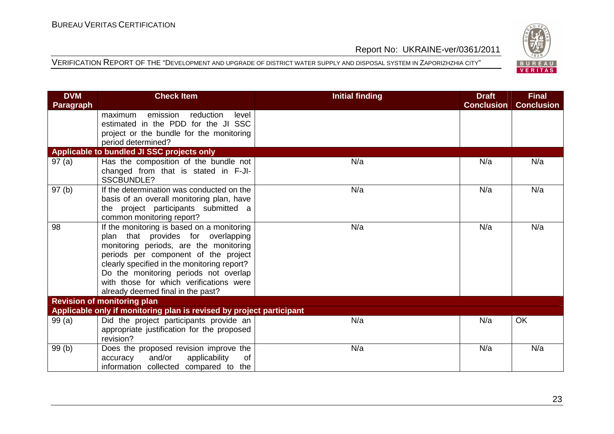

| <b>DVM</b>       | <b>Check Item</b>                                                                | <b>Initial finding</b> | <b>Draft</b>      | <b>Final</b>      |
|------------------|----------------------------------------------------------------------------------|------------------------|-------------------|-------------------|
| <b>Paragraph</b> |                                                                                  |                        | <b>Conclusion</b> | <b>Conclusion</b> |
|                  | emission<br>reduction<br>maximum<br>level                                        |                        |                   |                   |
|                  | estimated in the PDD for the JI SSC                                              |                        |                   |                   |
|                  | project or the bundle for the monitoring                                         |                        |                   |                   |
|                  | period determined?                                                               |                        |                   |                   |
|                  | Applicable to bundled JI SSC projects only                                       |                        |                   |                   |
| 97(a)            | Has the composition of the bundle not                                            | N/a                    | N/a               | N/a               |
|                  | changed from that is stated in F-JI-                                             |                        |                   |                   |
|                  | SSCBUNDLE?                                                                       |                        |                   |                   |
| 97(b)            | If the determination was conducted on the                                        | N/a                    | N/a               | N/a               |
|                  | basis of an overall monitoring plan, have                                        |                        |                   |                   |
|                  | the project participants submitted a                                             |                        |                   |                   |
| 98               | common monitoring report?                                                        | N/a                    | N/a               | N/a               |
|                  | If the monitoring is based on a monitoring<br>plan that provides for overlapping |                        |                   |                   |
|                  | monitoring periods, are the monitoring                                           |                        |                   |                   |
|                  | periods per component of the project                                             |                        |                   |                   |
|                  | clearly specified in the monitoring report?                                      |                        |                   |                   |
|                  | Do the monitoring periods not overlap                                            |                        |                   |                   |
|                  | with those for which verifications were                                          |                        |                   |                   |
|                  | already deemed final in the past?                                                |                        |                   |                   |
|                  | <b>Revision of monitoring plan</b>                                               |                        |                   |                   |
|                  | Applicable only if monitoring plan is revised by project participant             |                        |                   |                   |
| 99(a)            | Did the project participants provide an                                          | N/a                    | N/a               | OK                |
|                  | appropriate justification for the proposed                                       |                        |                   |                   |
|                  | revision?                                                                        |                        |                   |                   |
| 99(b)            | Does the proposed revision improve the                                           | N/a                    | N/a               | N/a               |
|                  | and/or<br>applicability<br>of<br>accuracy                                        |                        |                   |                   |
|                  | information collected compared to the                                            |                        |                   |                   |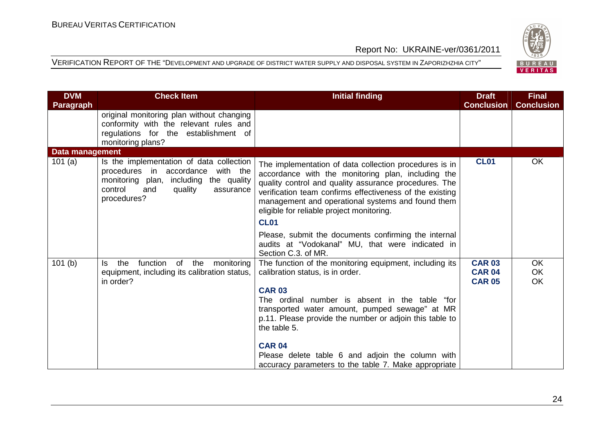

| <b>DVM</b>             | <b>Check Item</b>                                                                                                                                                                   | <b>Initial finding</b>                                                                                                                                                                                                                                                                                                                             | <b>Draft</b>                                    | <b>Final</b>                 |
|------------------------|-------------------------------------------------------------------------------------------------------------------------------------------------------------------------------------|----------------------------------------------------------------------------------------------------------------------------------------------------------------------------------------------------------------------------------------------------------------------------------------------------------------------------------------------------|-------------------------------------------------|------------------------------|
| <b>Paragraph</b>       |                                                                                                                                                                                     |                                                                                                                                                                                                                                                                                                                                                    | <b>Conclusion</b>                               | <b>Conclusion</b>            |
|                        | original monitoring plan without changing                                                                                                                                           |                                                                                                                                                                                                                                                                                                                                                    |                                                 |                              |
|                        | conformity with the relevant rules and<br>regulations for the establishment of                                                                                                      |                                                                                                                                                                                                                                                                                                                                                    |                                                 |                              |
|                        | monitoring plans?                                                                                                                                                                   |                                                                                                                                                                                                                                                                                                                                                    |                                                 |                              |
| <b>Data management</b> |                                                                                                                                                                                     |                                                                                                                                                                                                                                                                                                                                                    |                                                 |                              |
| 101 $(a)$              | Is the implementation of data collection<br>procedures in accordance with the<br>monitoring plan,<br>including the quality<br>control<br>quality<br>and<br>assurance<br>procedures? | The implementation of data collection procedures is in<br>accordance with the monitoring plan, including the<br>quality control and quality assurance procedures. The<br>verification team confirms effectiveness of the existing<br>management and operational systems and found them<br>eligible for reliable project monitoring.<br><b>CL01</b> | <b>CL01</b>                                     | <b>OK</b>                    |
|                        |                                                                                                                                                                                     |                                                                                                                                                                                                                                                                                                                                                    |                                                 |                              |
|                        |                                                                                                                                                                                     | Please, submit the documents confirming the internal<br>audits at "Vodokanal" MU, that were indicated in<br>Section C.3. of MR.                                                                                                                                                                                                                    |                                                 |                              |
| 101(b)                 | function<br>the<br>of<br>the<br>monitoring<br>ls.<br>equipment, including its calibration status,<br>in order?                                                                      | The function of the monitoring equipment, including its<br>calibration status, is in order.                                                                                                                                                                                                                                                        | <b>CAR 03</b><br><b>CAR 04</b><br><b>CAR 05</b> | <b>OK</b><br><b>OK</b><br>OK |
|                        |                                                                                                                                                                                     | <b>CAR 03</b><br>The ordinal number is absent in the table "for<br>transported water amount, pumped sewage" at MR<br>p.11. Please provide the number or adjoin this table to<br>the table 5.                                                                                                                                                       |                                                 |                              |
|                        |                                                                                                                                                                                     | <b>CAR 04</b>                                                                                                                                                                                                                                                                                                                                      |                                                 |                              |
|                        |                                                                                                                                                                                     | Please delete table 6 and adjoin the column with<br>accuracy parameters to the table 7. Make appropriate                                                                                                                                                                                                                                           |                                                 |                              |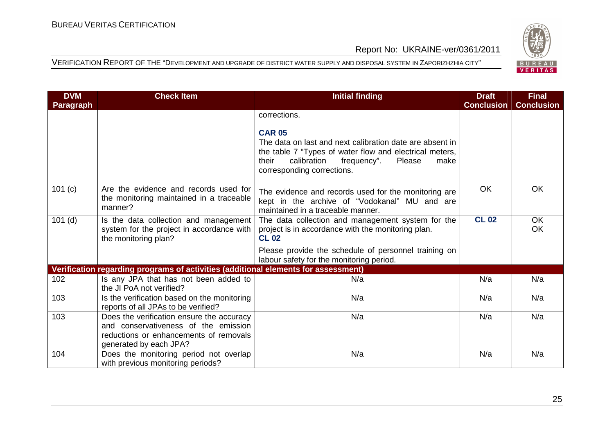

| <b>DVM</b> | <b>Check Item</b>                                                                                                                                     | <b>Initial finding</b>                                                                                                                                                                                                      | <b>Draft</b>      | <b>Final</b>      |
|------------|-------------------------------------------------------------------------------------------------------------------------------------------------------|-----------------------------------------------------------------------------------------------------------------------------------------------------------------------------------------------------------------------------|-------------------|-------------------|
| Paragraph  |                                                                                                                                                       |                                                                                                                                                                                                                             | <b>Conclusion</b> | <b>Conclusion</b> |
|            |                                                                                                                                                       | corrections.                                                                                                                                                                                                                |                   |                   |
|            |                                                                                                                                                       | <b>CAR 05</b><br>The data on last and next calibration date are absent in<br>the table 7 "Types of water flow and electrical meters,<br>their<br>calibration<br>Please<br>frequency".<br>make<br>corresponding corrections. |                   |                   |
| 101 (c)    | Are the evidence and records used for<br>the monitoring maintained in a traceable<br>manner?                                                          | The evidence and records used for the monitoring are<br>kept in the archive of "Vodokanal" MU and are<br>maintained in a traceable manner.                                                                                  | <b>OK</b>         | <b>OK</b>         |
| $101$ (d)  | Is the data collection and management<br>system for the project in accordance with<br>the monitoring plan?                                            | The data collection and management system for the<br>project is in accordance with the monitoring plan.<br><b>CL 02</b>                                                                                                     | <b>CL 02</b>      | <b>OK</b><br>OK   |
|            |                                                                                                                                                       | Please provide the schedule of personnel training on<br>labour safety for the monitoring period.                                                                                                                            |                   |                   |
|            | Verification regarding programs of activities (additional elements for assessment)                                                                    |                                                                                                                                                                                                                             |                   |                   |
| 102        | Is any JPA that has not been added to<br>the JI PoA not verified?                                                                                     | N/a                                                                                                                                                                                                                         | N/a               | N/a               |
| 103        | Is the verification based on the monitoring<br>reports of all JPAs to be verified?                                                                    | N/a                                                                                                                                                                                                                         | N/a               | N/a               |
| 103        | Does the verification ensure the accuracy<br>and conservativeness of the emission<br>reductions or enhancements of removals<br>generated by each JPA? | N/a                                                                                                                                                                                                                         | N/a               | N/a               |
| 104        | Does the monitoring period not overlap<br>with previous monitoring periods?                                                                           | N/a                                                                                                                                                                                                                         | N/a               | N/a               |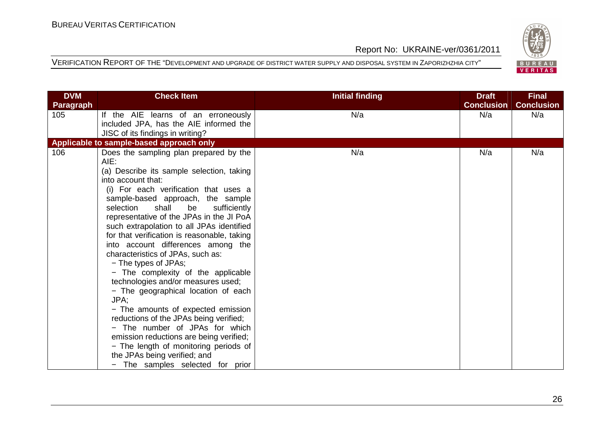

| <b>DVM</b>       | <b>Check Item</b>                                                                                                                                                                                                                                                                                                                                                                                                                                                                         | <b>Initial finding</b> | <b>Draft</b>      | <b>Final</b>      |
|------------------|-------------------------------------------------------------------------------------------------------------------------------------------------------------------------------------------------------------------------------------------------------------------------------------------------------------------------------------------------------------------------------------------------------------------------------------------------------------------------------------------|------------------------|-------------------|-------------------|
| <b>Paragraph</b> |                                                                                                                                                                                                                                                                                                                                                                                                                                                                                           |                        | <b>Conclusion</b> | <b>Conclusion</b> |
| 105              | If the AIE learns of an erroneously                                                                                                                                                                                                                                                                                                                                                                                                                                                       | N/a                    | N/a               | N/a               |
|                  | included JPA, has the AIE informed the                                                                                                                                                                                                                                                                                                                                                                                                                                                    |                        |                   |                   |
|                  | JISC of its findings in writing?                                                                                                                                                                                                                                                                                                                                                                                                                                                          |                        |                   |                   |
|                  | Applicable to sample-based approach only                                                                                                                                                                                                                                                                                                                                                                                                                                                  |                        |                   |                   |
| 106              | Does the sampling plan prepared by the<br>$AIE$ :<br>(a) Describe its sample selection, taking<br>into account that:<br>(i) For each verification that uses a<br>sample-based approach, the sample<br>selection<br>shall<br>be<br>sufficiently<br>representative of the JPAs in the JI PoA<br>such extrapolation to all JPAs identified<br>for that verification is reasonable, taking<br>into account differences among the<br>characteristics of JPAs, such as:<br>- The types of JPAs; | N/a                    | N/a               | N/a               |
|                  | - The complexity of the applicable<br>technologies and/or measures used;<br>- The geographical location of each<br>JPA:<br>- The amounts of expected emission<br>reductions of the JPAs being verified;<br>- The number of JPAs for which<br>emission reductions are being verified;<br>- The length of monitoring periods of<br>the JPAs being verified; and<br>The samples selected for prior                                                                                           |                        |                   |                   |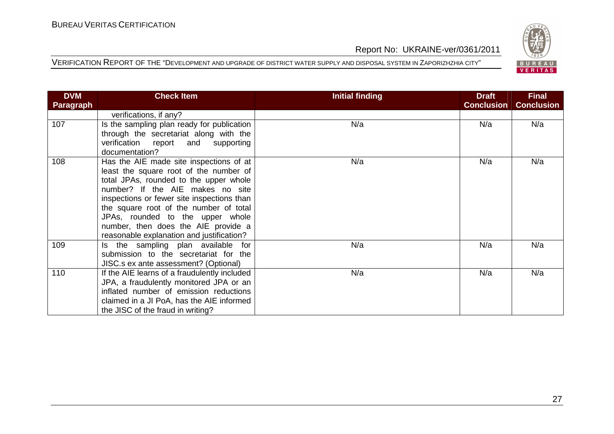

| <b>DVM</b> | <b>Check Item</b>                                                                                                                                                                                                                                                                                                                                                               | Initial finding | <b>Draft</b>      | <b>Final</b>      |
|------------|---------------------------------------------------------------------------------------------------------------------------------------------------------------------------------------------------------------------------------------------------------------------------------------------------------------------------------------------------------------------------------|-----------------|-------------------|-------------------|
| Paragraph  |                                                                                                                                                                                                                                                                                                                                                                                 |                 | <b>Conclusion</b> | <b>Conclusion</b> |
|            | verifications, if any?                                                                                                                                                                                                                                                                                                                                                          |                 |                   |                   |
| 107        | Is the sampling plan ready for publication<br>through the secretariat along with the<br>verification report and supporting<br>documentation?                                                                                                                                                                                                                                    | N/a             | N/a               | N/a               |
| 108        | Has the AIE made site inspections of at<br>least the square root of the number of<br>total JPAs, rounded to the upper whole<br>number? If the AIE makes no site<br>inspections or fewer site inspections than<br>the square root of the number of total<br>JPAs, rounded to the upper whole<br>number, then does the AIE provide a<br>reasonable explanation and justification? | N/a             | N/a               | N/a               |
| 109        | Is the sampling plan available for<br>submission to the secretariat for the<br>JISC.s ex ante assessment? (Optional)                                                                                                                                                                                                                                                            | N/a             | N/a               | N/a               |
| 110        | If the AIE learns of a fraudulently included<br>JPA, a fraudulently monitored JPA or an<br>inflated number of emission reductions<br>claimed in a JI PoA, has the AIE informed<br>the JISC of the fraud in writing?                                                                                                                                                             | N/a             | N/a               | N/a               |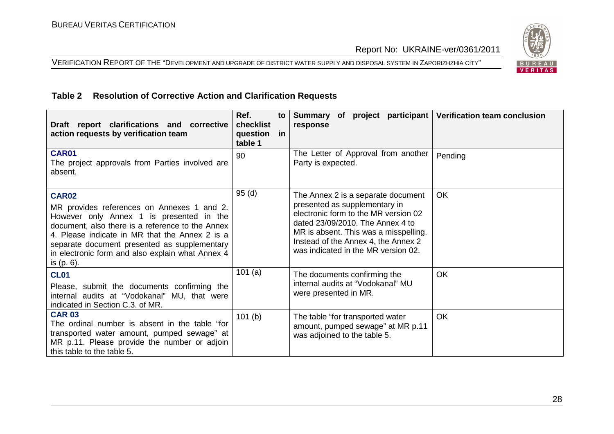VERIFICATION REPORT OF THE "DEVELOPMENT AND UPGRADE OF DISTRICT WATER SUPPLY AND DISPOSAL SYSTEM IN ZAPORIZHZHIA CITY"



#### **Table 2 Resolution of Corrective Action and Clarification Requests**

| Draft report clarifications and corrective<br>action requests by verification team                                                                                                                                                                                                                                             | Ref.<br>to<br>checklist<br>question in<br>table 1 | Summary of project participant<br>response                                                                                                                                                                                                                             | <b>Verification team conclusion</b> |
|--------------------------------------------------------------------------------------------------------------------------------------------------------------------------------------------------------------------------------------------------------------------------------------------------------------------------------|---------------------------------------------------|------------------------------------------------------------------------------------------------------------------------------------------------------------------------------------------------------------------------------------------------------------------------|-------------------------------------|
| <b>CAR01</b><br>The project approvals from Parties involved are<br>absent.                                                                                                                                                                                                                                                     | 90                                                | The Letter of Approval from another<br>Party is expected.                                                                                                                                                                                                              | Pending                             |
| <b>CAR02</b><br>MR provides references on Annexes 1 and 2.<br>However only Annex 1 is presented in the<br>document, also there is a reference to the Annex<br>4. Please indicate in MR that the Annex 2 is a<br>separate document presented as supplementary<br>in electronic form and also explain what Annex 4<br>is (p. 6). | 95(d)                                             | The Annex 2 is a separate document<br>presented as supplementary in<br>electronic form to the MR version 02<br>dated 23/09/2010. The Annex 4 to<br>MR is absent. This was a misspelling.<br>Instead of the Annex 4, the Annex 2<br>was indicated in the MR version 02. | <b>OK</b>                           |
| <b>CL01</b><br>Please, submit the documents confirming the<br>internal audits at "Vodokanal" MU, that were<br>indicated in Section C.3. of MR.                                                                                                                                                                                 | 101(a)                                            | The documents confirming the<br>internal audits at "Vodokanal" MU<br>were presented in MR.                                                                                                                                                                             | <b>OK</b>                           |
| <b>CAR 03</b><br>The ordinal number is absent in the table "for<br>transported water amount, pumped sewage" at<br>MR p.11. Please provide the number or adjoin<br>this table to the table 5.                                                                                                                                   | 101(b)                                            | The table "for transported water<br>amount, pumped sewage" at MR p.11<br>was adjoined to the table 5.                                                                                                                                                                  | <b>OK</b>                           |